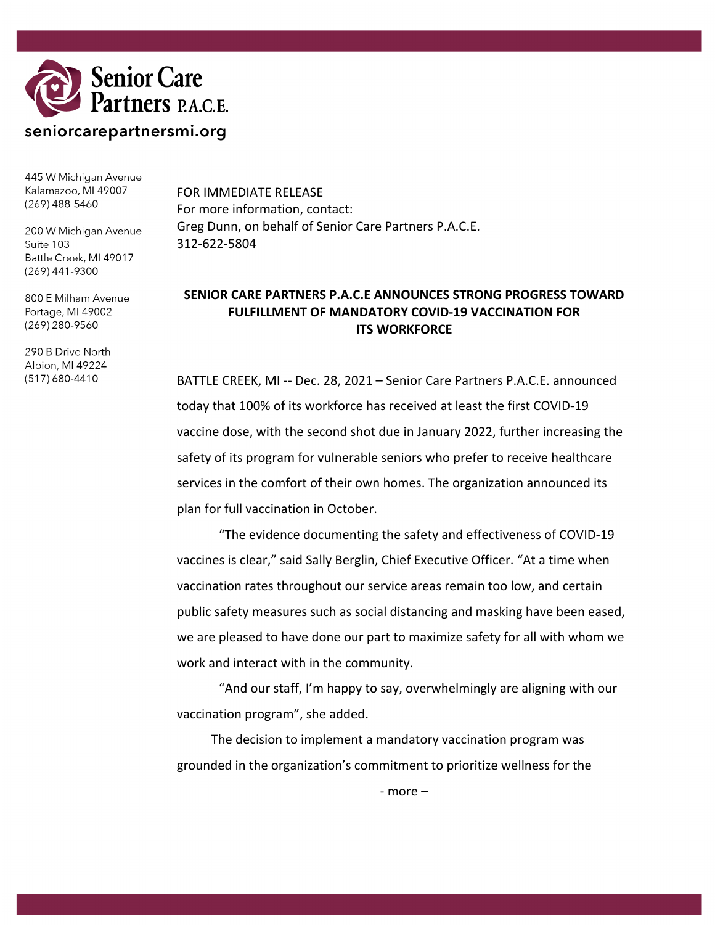

445 W Michigan Avenue Kalamazoo, MI 49007  $(269)$  488-5460

200 W Michigan Avenue Suite 103 Battle Creek, MI 49017  $(269)$  441-9300

800 E Milham Avenue Portage, MI 49002 (269) 280-9560

290 B Drive North Albion, MI 49224 (517) 680-4410

FOR IMMEDIATE RELEASE For more information, contact: Greg Dunn, on behalf of Senior Care Partners P.A.C.E. 312-622-5804

## **SENIOR CARE PARTNERS P.A.C.E ANNOUNCES STRONG PROGRESS TOWARD FULFILLMENT OF MANDATORY COVID-19 VACCINATION FOR ITS WORKFORCE**

BATTLE CREEK, MI -- Dec. 28, 2021 – Senior Care Partners P.A.C.E. announced today that 100% of its workforce has received at least the first COVID-19 vaccine dose, with the second shot due in January 2022, further increasing the safety of its program for vulnerable seniors who prefer to receive healthcare services in the comfort of their own homes. The organization announced its plan for full vaccination in October.

"The evidence documenting the safety and effectiveness of COVID-19 vaccines is clear," said Sally Berglin, Chief Executive Officer. "At a time when vaccination rates throughout our service areas remain too low, and certain public safety measures such as social distancing and masking have been eased, we are pleased to have done our part to maximize safety for all with whom we work and interact with in the community.

"And our staff, I'm happy to say, overwhelmingly are aligning with our vaccination program", she added.

The decision to implement a mandatory vaccination program was grounded in the organization's commitment to prioritize wellness for the

- more –